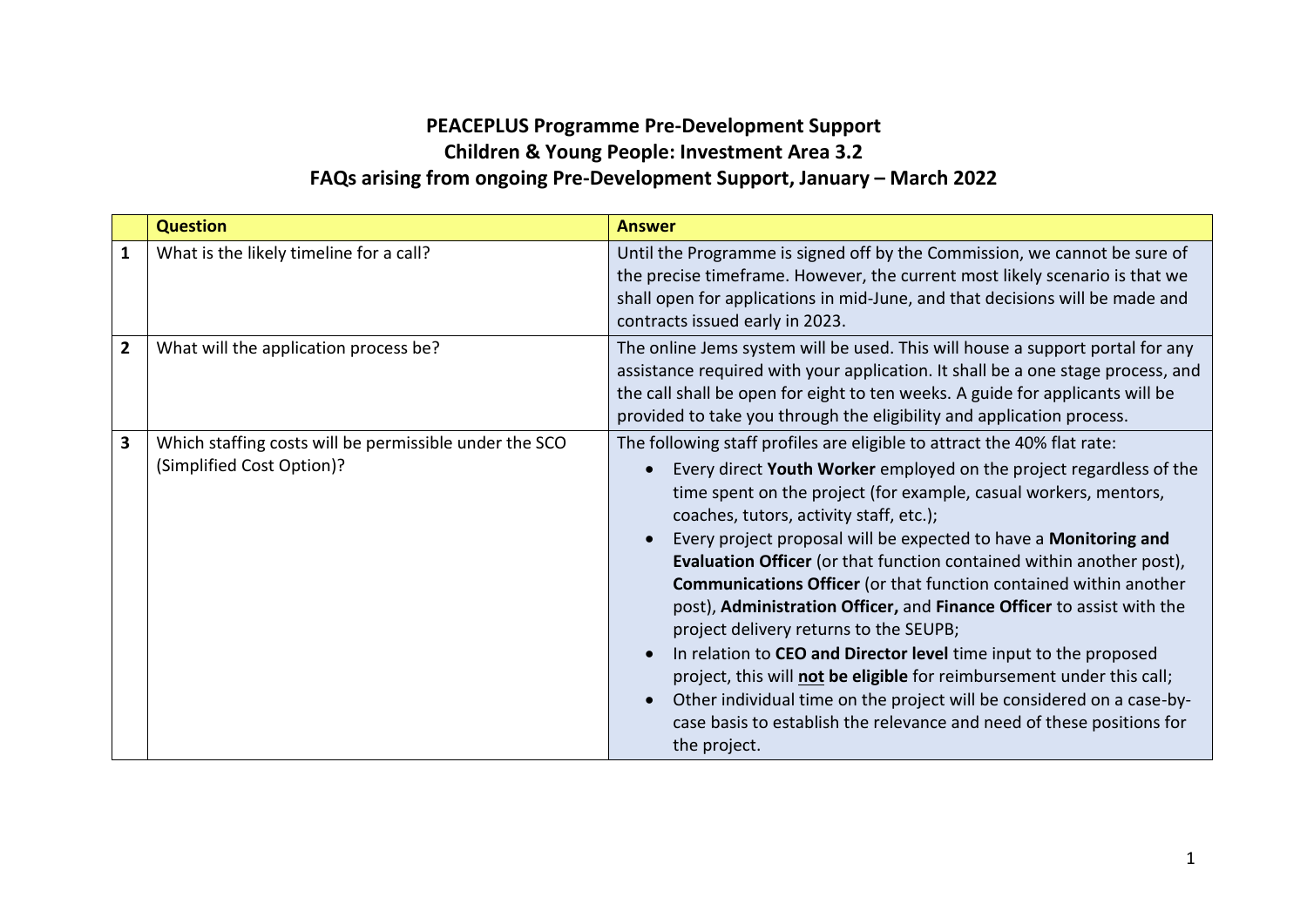## **PEACEPLUS Programme Pre-Development Support Children & Young People: Investment Area 3.2 FAQs arising from ongoing Pre-Development Support, January – March 2022**

|                | <b>Question</b>                                                                     | <b>Answer</b>                                                                                                                                                                                                                                                                                                                                                                                                                                                                                                                                                                                                                                                                                                                                                                                                                                                                                                                                                  |
|----------------|-------------------------------------------------------------------------------------|----------------------------------------------------------------------------------------------------------------------------------------------------------------------------------------------------------------------------------------------------------------------------------------------------------------------------------------------------------------------------------------------------------------------------------------------------------------------------------------------------------------------------------------------------------------------------------------------------------------------------------------------------------------------------------------------------------------------------------------------------------------------------------------------------------------------------------------------------------------------------------------------------------------------------------------------------------------|
| 1              | What is the likely timeline for a call?                                             | Until the Programme is signed off by the Commission, we cannot be sure of<br>the precise timeframe. However, the current most likely scenario is that we<br>shall open for applications in mid-June, and that decisions will be made and<br>contracts issued early in 2023.                                                                                                                                                                                                                                                                                                                                                                                                                                                                                                                                                                                                                                                                                    |
| $\overline{2}$ | What will the application process be?                                               | The online Jems system will be used. This will house a support portal for any<br>assistance required with your application. It shall be a one stage process, and<br>the call shall be open for eight to ten weeks. A guide for applicants will be<br>provided to take you through the eligibility and application process.                                                                                                                                                                                                                                                                                                                                                                                                                                                                                                                                                                                                                                     |
| 3              | Which staffing costs will be permissible under the SCO<br>(Simplified Cost Option)? | The following staff profiles are eligible to attract the 40% flat rate:<br>Every direct Youth Worker employed on the project regardless of the<br>time spent on the project (for example, casual workers, mentors,<br>coaches, tutors, activity staff, etc.);<br>Every project proposal will be expected to have a Monitoring and<br>$\bullet$<br>Evaluation Officer (or that function contained within another post),<br><b>Communications Officer</b> (or that function contained within another<br>post), Administration Officer, and Finance Officer to assist with the<br>project delivery returns to the SEUPB;<br>In relation to CEO and Director level time input to the proposed<br>$\bullet$<br>project, this will not be eligible for reimbursement under this call;<br>Other individual time on the project will be considered on a case-by-<br>$\bullet$<br>case basis to establish the relevance and need of these positions for<br>the project. |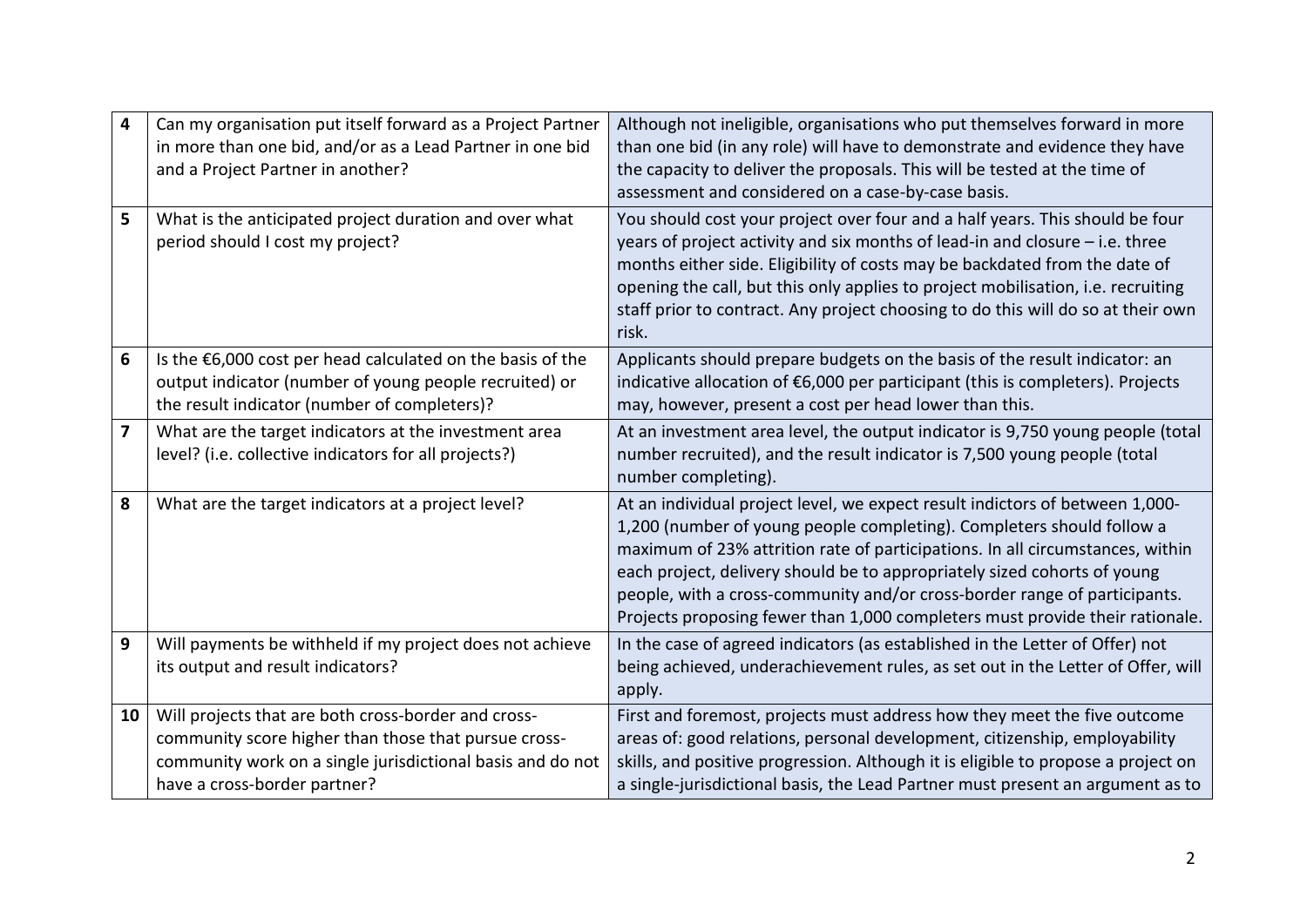| $\overline{\mathbf{4}}$ | Can my organisation put itself forward as a Project Partner<br>in more than one bid, and/or as a Lead Partner in one bid<br>and a Project Partner in another?                                             | Although not ineligible, organisations who put themselves forward in more<br>than one bid (in any role) will have to demonstrate and evidence they have<br>the capacity to deliver the proposals. This will be tested at the time of<br>assessment and considered on a case-by-case basis.                                                                                                                                                                                      |
|-------------------------|-----------------------------------------------------------------------------------------------------------------------------------------------------------------------------------------------------------|---------------------------------------------------------------------------------------------------------------------------------------------------------------------------------------------------------------------------------------------------------------------------------------------------------------------------------------------------------------------------------------------------------------------------------------------------------------------------------|
| 5                       | What is the anticipated project duration and over what<br>period should I cost my project?                                                                                                                | You should cost your project over four and a half years. This should be four<br>years of project activity and six months of lead-in and closure - i.e. three<br>months either side. Eligibility of costs may be backdated from the date of<br>opening the call, but this only applies to project mobilisation, i.e. recruiting<br>staff prior to contract. Any project choosing to do this will do so at their own<br>risk.                                                     |
| 6                       | Is the $\epsilon$ 6,000 cost per head calculated on the basis of the<br>output indicator (number of young people recruited) or<br>the result indicator (number of completers)?                            | Applicants should prepare budgets on the basis of the result indicator: an<br>indicative allocation of €6,000 per participant (this is completers). Projects<br>may, however, present a cost per head lower than this.                                                                                                                                                                                                                                                          |
| $\overline{\mathbf{z}}$ | What are the target indicators at the investment area<br>level? (i.e. collective indicators for all projects?)                                                                                            | At an investment area level, the output indicator is 9,750 young people (total<br>number recruited), and the result indicator is 7,500 young people (total<br>number completing).                                                                                                                                                                                                                                                                                               |
| 8                       | What are the target indicators at a project level?                                                                                                                                                        | At an individual project level, we expect result indictors of between 1,000-<br>1,200 (number of young people completing). Completers should follow a<br>maximum of 23% attrition rate of participations. In all circumstances, within<br>each project, delivery should be to appropriately sized cohorts of young<br>people, with a cross-community and/or cross-border range of participants.<br>Projects proposing fewer than 1,000 completers must provide their rationale. |
| 9                       | Will payments be withheld if my project does not achieve<br>its output and result indicators?                                                                                                             | In the case of agreed indicators (as established in the Letter of Offer) not<br>being achieved, underachievement rules, as set out in the Letter of Offer, will<br>apply.                                                                                                                                                                                                                                                                                                       |
| 10                      | Will projects that are both cross-border and cross-<br>community score higher than those that pursue cross-<br>community work on a single jurisdictional basis and do not<br>have a cross-border partner? | First and foremost, projects must address how they meet the five outcome<br>areas of: good relations, personal development, citizenship, employability<br>skills, and positive progression. Although it is eligible to propose a project on<br>a single-jurisdictional basis, the Lead Partner must present an argument as to                                                                                                                                                   |